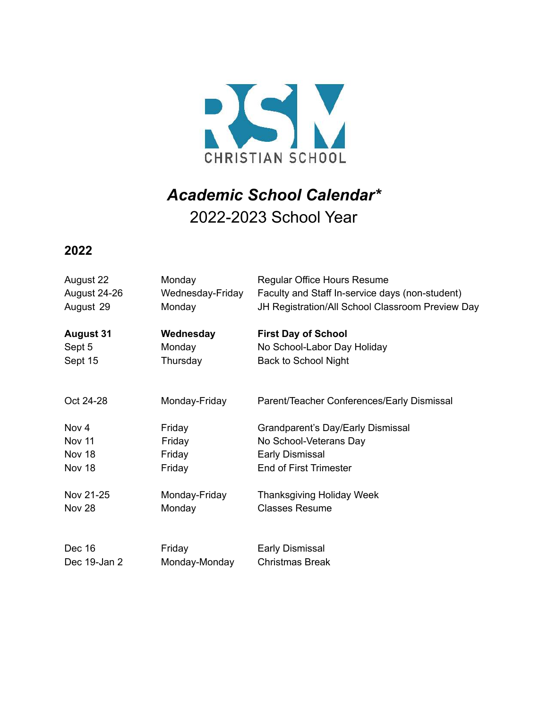

## *Academic School Calendar\** 2022-2023 School Year

**2022**

| August 22        | Monday           | Regular Office Hours Resume                      |
|------------------|------------------|--------------------------------------------------|
| August 24-26     | Wednesday-Friday | Faculty and Staff In-service days (non-student)  |
| August 29        | Monday           | JH Registration/All School Classroom Preview Day |
| <b>August 31</b> | Wednesday        | <b>First Day of School</b>                       |
| Sept 5           | Monday           | No School-Labor Day Holiday                      |
| Sept 15          | Thursday         | <b>Back to School Night</b>                      |
| Oct 24-28        | Monday-Friday    | Parent/Teacher Conferences/Early Dismissal       |
| Nov 4            | Friday           | Grandparent's Day/Early Dismissal                |
| Nov 11           | Friday           | No School-Veterans Day                           |
| Nov 18           | Friday           | Early Dismissal                                  |
| Nov 18           | Friday           | <b>End of First Trimester</b>                    |
| Nov 21-25        | Monday-Friday    | <b>Thanksgiving Holiday Week</b>                 |
| <b>Nov 28</b>    | Monday           | <b>Classes Resume</b>                            |
|                  |                  |                                                  |
| Dec 16           | Friday           | <b>Early Dismissal</b>                           |
| Dec 19-Jan 2     | Monday-Monday    | <b>Christmas Break</b>                           |